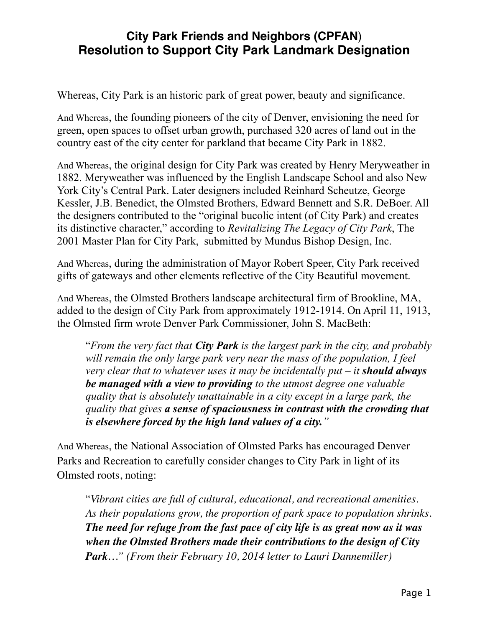## **City Park Friends and Neighbors (CPFAN**) **Resolution to Support City Park Landmark Designation**

Whereas, City Park is an historic park of great power, beauty and significance.

And Whereas, the founding pioneers of the city of Denver, envisioning the need for green, open spaces to offset urban growth, purchased 320 acres of land out in the country east of the city center for parkland that became City Park in 1882.

And Whereas, the original design for City Park was created by Henry Meryweather in 1882. Meryweather was influenced by the English Landscape School and also New York City's Central Park. Later designers included Reinhard Scheutze, George Kessler, J.B. Benedict, the Olmsted Brothers, Edward Bennett and S.R. DeBoer. All the designers contributed to the "original bucolic intent (of City Park) and creates its distinctive character," according to *Revitalizing The Legacy of City Park*, The 2001 Master Plan for City Park, submitted by Mundus Bishop Design, Inc.

And Whereas, during the administration of Mayor Robert Speer, City Park received gifts of gateways and other elements reflective of the City Beautiful movement.

And Whereas, the Olmsted Brothers landscape architectural firm of Brookline, MA, added to the design of City Park from approximately 1912-1914. On April 11, 1913, the Olmsted firm wrote Denver Park Commissioner, John S. MacBeth:

"*From the very fact that City Park is the largest park in the city, and probably will remain the only large park very near the mass of the population, I feel very clear that to whatever uses it may be incidentally put – it should always be managed with a view to providing to the utmost degree one valuable quality that is absolutely unattainable in a city except in a large park, the quality that gives a sense of spaciousness in contrast with the crowding that is elsewhere forced by the high land values of a city."*

And Whereas, the National Association of Olmsted Parks has encouraged Denver Parks and Recreation to carefully consider changes to City Park in light of its Olmsted roots, noting:

"*Vibrant cities are full of cultural, educational, and recreational amenities. As their populations grow, the proportion of park space to population shrinks. The need for refuge from the fast pace of city life is as great now as it was when the Olmsted Brothers made their contributions to the design of City Park…" (From their February 10, 2014 letter to Lauri Dannemiller)*